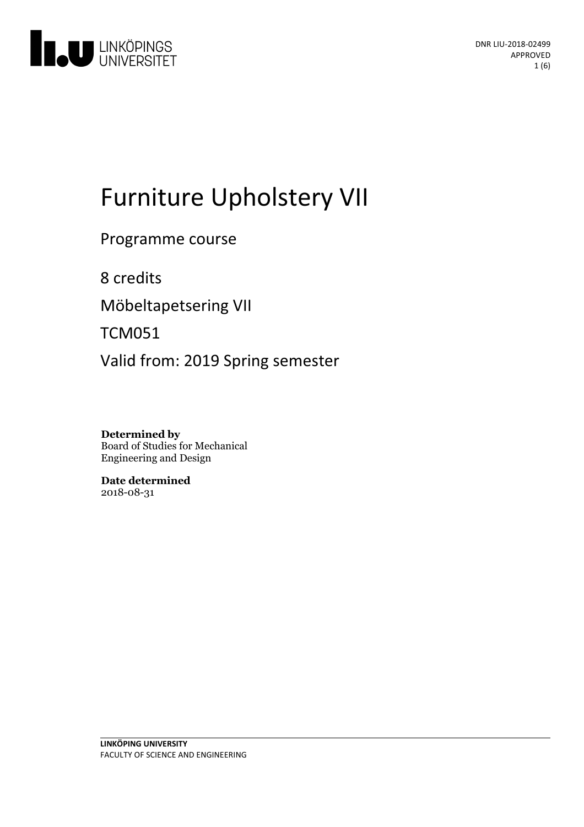

# Furniture Upholstery VII

Programme course

8 credits

Möbeltapetsering VII

TCM051

Valid from: 2019 Spring semester

**Determined by** Board of Studies for Mechanical Engineering and Design

**Date determined** 2018-08-31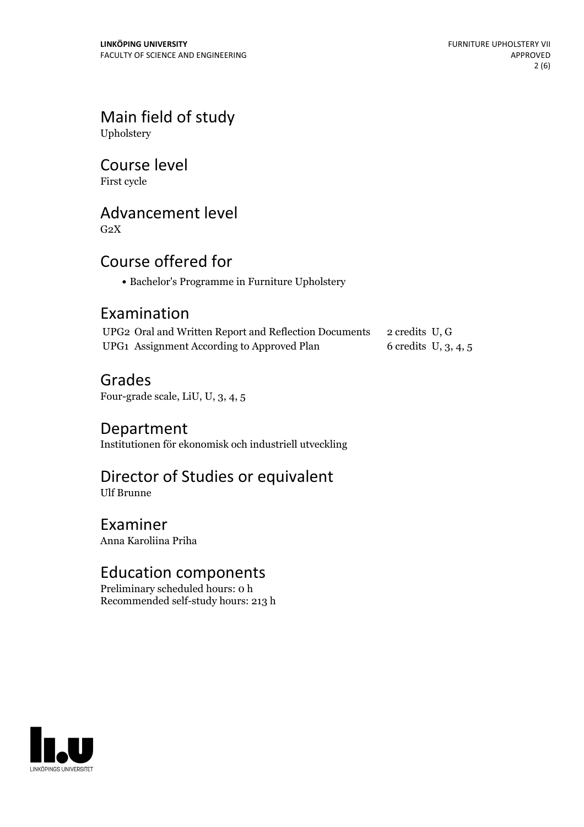Main field of study Upholstery

Course level

First cycle

## Advancement level

 $G<sub>2</sub>X$ 

## Course offered for

• Bachelor's Programme in Furniture Upholstery

### Examination

| UPG2 Oral and Written Report and Reflection Documents 2 credits U, G |                        |
|----------------------------------------------------------------------|------------------------|
| UPG1 Assignment According to Approved Plan                           | 6 credits $U, 3, 4, 5$ |

Grades

Four-grade scale, LiU, U, 3, 4, 5

Department Institutionen för ekonomisk och industriell utveckling

## Director of Studies or equivalent

Ulf Brunne

Examiner Anna Karoliina Priha

## Education components

Preliminary scheduled hours: 0 h Recommended self-study hours: 213 h

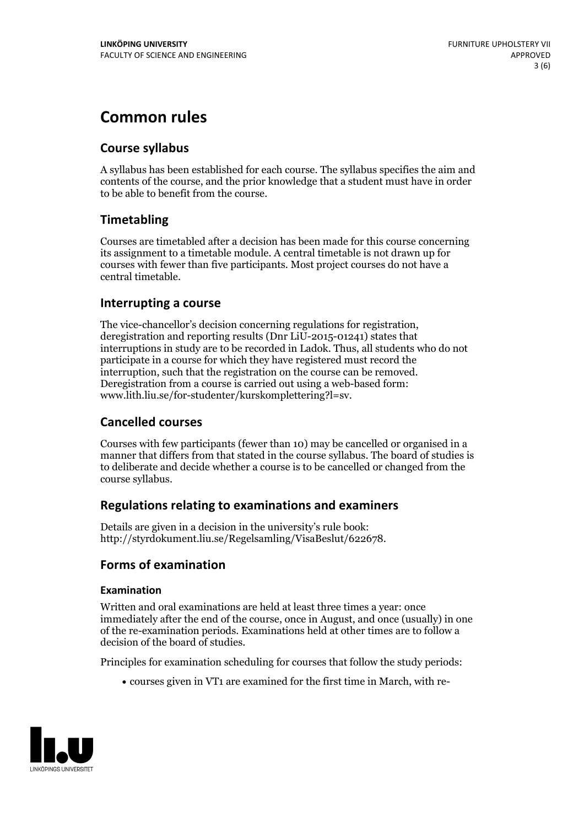## **Common rules**

#### **Course syllabus**

A syllabus has been established for each course. The syllabus specifies the aim and contents of the course, and the prior knowledge that a student must have in order to be able to benefit from the course.

#### **Timetabling**

Courses are timetabled after a decision has been made for this course concerning its assignment to a timetable module. A central timetable is not drawn up for courses with fewer than five participants. Most project courses do not have a central timetable.

#### **Interrupting a course**

The vice-chancellor's decision concerning regulations for registration, deregistration and reporting results (Dnr LiU-2015-01241) states that interruptions in study are to be recorded in Ladok. Thus, all students who do not participate in a course for which they have registered must record the interruption, such that the registration on the course can be removed. Deregistration from <sup>a</sup> course is carried outusing <sup>a</sup> web-based form: www.lith.liu.se/for-studenter/kurskomplettering?l=sv.

#### **Cancelled courses**

Courses with few participants (fewer than 10) may be cancelled or organised in a manner that differs from that stated in the course syllabus. The board of studies is to deliberate and decide whether a course is to be cancelled orchanged from the course syllabus.

#### **Regulations relatingto examinations and examiners**

Details are given in a decision in the university's rule book: http://styrdokument.liu.se/Regelsamling/VisaBeslut/622678.

#### **Forms of examination**

#### **Examination**

Written and oral examinations are held at least three times a year: once immediately after the end of the course, once in August, and once (usually) in one of the re-examination periods. Examinations held at other times are to follow a decision of the board of studies.

Principles for examination scheduling for courses that follow the study periods:

courses given in VT1 are examined for the first time in March, with re-

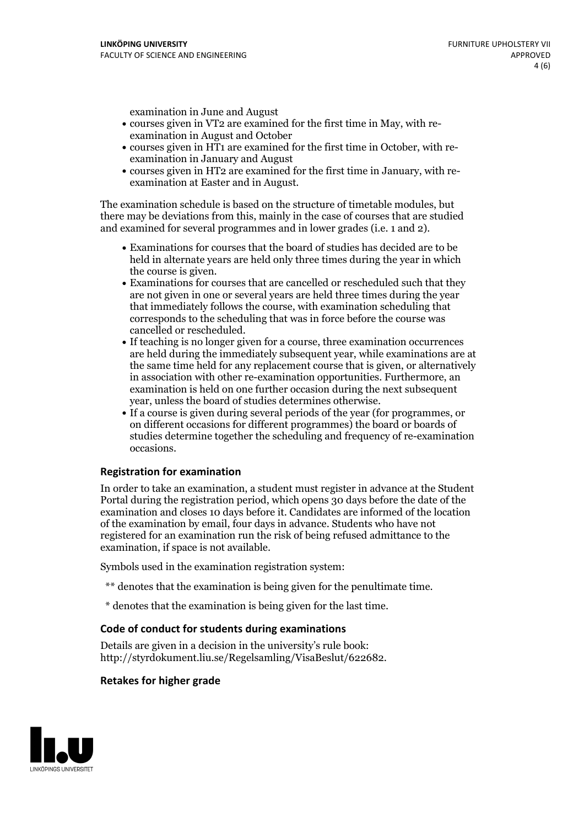examination in June and August

- courses given in VT2 are examined for the first time in May, with re-examination in August and October
- courses given in HT1 are examined for the first time in October, with re-examination in January and August
- courses given in HT2 are examined for the first time in January, with re-examination at Easter and in August.

The examination schedule is based on the structure of timetable modules, but there may be deviations from this, mainly in the case of courses that are studied and examined for several programmes and in lower grades (i.e. 1 and 2).

- Examinations for courses that the board of studies has decided are to be held in alternate years are held only three times during the year in which
- the course is given.<br>• Examinations for courses that are cancelled or rescheduled such that they are not given in one or several years are held three times during the year that immediately follows the course, with examination scheduling that corresponds to the scheduling that was in force before the course was cancelled or rescheduled.<br>• If teaching is no longer given for a course, three examination occurrences
- are held during the immediately subsequent year, while examinations are at the same time held for any replacement course that is given, or alternatively in association with other re-examination opportunities. Furthermore, an examination is held on one further occasion during the next subsequent year, unless the board of studies determines otherwise.<br>• If a course is given during several periods of the year (for programmes, or
- on different occasions for different programmes) the board orboards of studies determine together the scheduling and frequency of re-examination occasions.

#### **Registration for examination**

In order to take an examination, a student must register in advance at the Student Portal during the registration period, which opens 30 days before the date of the examination and closes 10 days before it. Candidates are informed of the location of the examination by email, four days in advance. Students who have not registered for an examination run the risk of being refused admittance to the examination, if space is not available.

Symbols used in the examination registration system:

- \*\* denotes that the examination is being given for the penultimate time.
- \* denotes that the examination is being given for the last time.

#### **Code of conduct for students during examinations**

Details are given in a decision in the university's rule book: http://styrdokument.liu.se/Regelsamling/VisaBeslut/622682.

#### **Retakes for higher grade**

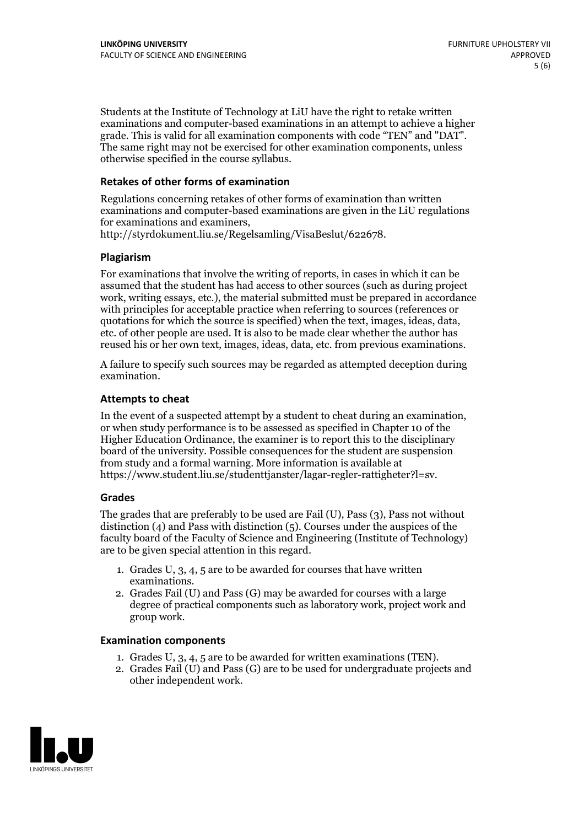Students at the Institute of Technology at LiU have the right to retake written examinations and computer-based examinations in an attempt to achieve a higher grade. This is valid for all examination components with code "TEN" and "DAT". The same right may not be exercised for other examination components, unless otherwise specified in the course syllabus.

#### **Retakes of other forms of examination**

Regulations concerning retakes of other forms of examination than written examinations and computer-based examinations are given in the LiU regulations for examinations and examiners, http://styrdokument.liu.se/Regelsamling/VisaBeslut/622678.

#### **Plagiarism**

For examinations that involve the writing of reports, in cases in which it can be assumed that the student has had access to other sources (such as during project work, writing essays, etc.), the material submitted must be prepared in accordance with principles for acceptable practice when referring to sources (references or quotations for which the source is specified) when the text, images, ideas, data, etc. of other people are used. It is also to be made clear whether the author has reused his or her own text, images, ideas, data, etc. from previous examinations.

A failure to specify such sources may be regarded as attempted deception during examination.

#### **Attempts to cheat**

In the event of <sup>a</sup> suspected attempt by <sup>a</sup> student to cheat during an examination, or when study performance is to be assessed as specified in Chapter <sup>10</sup> of the Higher Education Ordinance, the examiner is to report this to the disciplinary board of the university. Possible consequences for the student are suspension from study and a formal warning. More information is available at https://www.student.liu.se/studenttjanster/lagar-regler-rattigheter?l=sv.

#### **Grades**

The grades that are preferably to be used are Fail (U), Pass (3), Pass not without distinction  $(4)$  and Pass with distinction  $(5)$ . Courses under the auspices of the faculty board of the Faculty of Science and Engineering (Institute of Technology) are to be given special attention in this regard.

- 1. Grades U, 3, 4, 5 are to be awarded for courses that have written
- examinations. 2. Grades Fail (U) and Pass (G) may be awarded for courses with <sup>a</sup> large degree of practical components such as laboratory work, project work and group work.

#### **Examination components**

- 
- 1. Grades U, 3, 4, <sup>5</sup> are to be awarded for written examinations (TEN). 2. Grades Fail (U) and Pass (G) are to be used for undergraduate projects and other independent work.